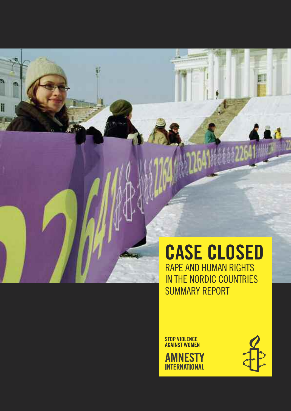## CASE CLOSED RAPE AND HUMAN RIGHTS IN THE NORDIC COUNTRIES SUMMARY REPORT

STOP VIOLENCE AGAINST WOMEN

**AMNESTY INTERNATIONAL** 

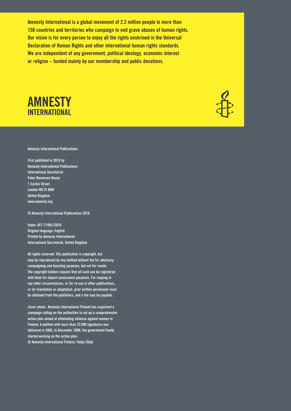Amnesty International is a global movement of 2.2 million people in more than 150 countries and territories who campaign to end grave abuses of human rights. Our vision is for every person to enjoy all the rights enshrined in the Universal Declaration of Human Rights and other international human rights standards. We are independent of any government, political ideology, economic interest or religion – funded mainly by our membership and public donations.



#### Amnesty International Publications

First published in 2010 by Amnesty International Publications International Secretariat Peter Benenson House 1 Easton Street London WC1X 0DW United Kingdom www.amnesty.org

© Amnesty International Publications 2010

Index: ACT 77/001/2010 Original language: English Printed by Amnesty International, International Secretariat, United Kingdom

All rights reserved. This publication is copyright, but may be reproduced by any method without fee for advocacy, campaigning and teaching purposes, but not for resale. The copyright holders request that all such use be registered with them for impact assessment purposes. For copying in any other circumstances, or for re-use in other publications, or for translation or adaptation, prior written permission must be obtained from the publishers, and a fee may be payable.

*Cover photo* : Amnesty International Finland has organized a campaign calling on the authorities to set up a comprehensive action plan aimed at eliminating violence against women in Finland. A petition with more than 22,000 signatures was delivered in 2005. In December 2009, the government finally started working on the action plan. © Amnesty International Finland / Katja Tähjä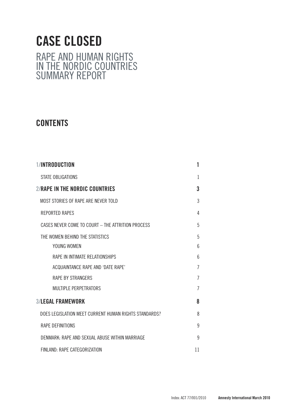## CASE CLOSED RAPE AND HUMAN RIGHTS IN THE NORDIC COUNTRIES SUMMARY REPORT

## **CONTENTS**

| <b>1/INTRODUCTION</b>                                 | 1              |
|-------------------------------------------------------|----------------|
| STATE OBLIGATIONS                                     | $\mathbf{1}$   |
| 2/RAPE IN THE NORDIC COUNTRIES                        | 3              |
| MOST STORIES OF RAPE ARE NEVER TOLD                   | 3              |
| <b>REPORTED RAPES</b>                                 | 4              |
| CASES NEVER COME TO COURT - THE ATTRITION PROCESS     | 5              |
| THE WOMEN BEHIND THE STATISTICS                       | 5              |
| YOUNG WOMEN                                           | 6              |
| RAPE IN INTIMATE RELATIONSHIPS                        | 6              |
| ACQUAINTANCE RAPE AND 'DATE RAPE'                     | $\overline{1}$ |
| <b>RAPE BY STRANGERS</b>                              | $\overline{1}$ |
| <b>MULTIPLE PERPETRATORS</b>                          | $\overline{7}$ |
| <b>3/LEGAL FRAMEWORK</b>                              | 8              |
| DOES LEGISLATION MEET CURRENT HUMAN RIGHTS STANDARDS? | 8              |
| RAPE DEFINITIONS                                      | 9              |
| DENMARK: RAPE AND SEXUAL ABUSE WITHIN MARRIAGE        | 9              |
| FINLAND: RAPE CATEGORIZATION                          | 11             |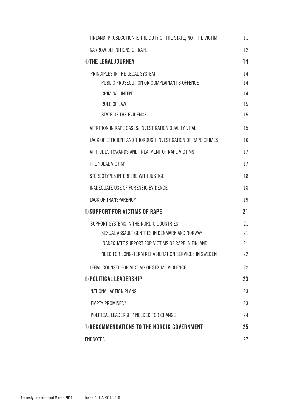| FINLAND: PROSECUTION IS THE DUTY OF THE STATE, NOT THE VICTIM | 11 |
|---------------------------------------------------------------|----|
| NARROW DEFINITIONS OF RAPE                                    | 12 |
| 4/THE LEGAL JOURNEY                                           | 14 |
| PRINCIPLES IN THE LEGAL SYSTEM                                | 14 |
| PUBLIC PROSECUTION OR COMPLAINANT'S OFFENCE                   | 14 |
| <b>CRIMINAL INTENT</b>                                        | 14 |
| <b>RULE OF LAW</b>                                            | 15 |
| STATE OF THE EVIDENCE                                         | 15 |
| ATTRITION IN RAPE CASES: INVESTIGATION QUALITY VITAL          | 15 |
| LACK OF EFFICIENT AND THOROUGH INVESTIGATION OF RAPE CRIMES   | 16 |
| ATTITUDES TOWARDS AND TREATMENT OF RAPE VICTIMS               | 17 |
| THE 'IDEAL VICTIM'                                            | 17 |
| STEREOTYPES INTERFERE WITH JUSTICE                            | 18 |
| INADEQUATE USE OF FORENSIC EVIDENCE                           | 18 |
| <b>LACK OF TRANSPARENCY</b>                                   | 19 |
| 5/SUPPORT FOR VICTIMS OF RAPE                                 | 21 |
| SUPPORT SYSTEMS IN THE NORDIC COUNTRIES                       | 21 |
| SEXUAL ASSAULT CENTRES IN DENMARK AND NORWAY                  | 21 |
| INADEQUATE SUPPORT FOR VICTIMS OF RAPE IN FINLAND             | 21 |
| NEED FOR LONG-TERM REHABILITATION SERVICES IN SWEDEN          | 22 |
| LEGAL COUNSEL FOR VICTIMS OF SEXUAL VIOLENCE                  | 22 |
| <b>6/POLITICAL LEADERSHIP</b>                                 | 23 |
| NATIONAL ACTION PLANS                                         | 23 |
| <b>EMPTY PROMISES?</b>                                        | 23 |
| POLITICAL LEADERSHIP NEEDED FOR CHANGE                        | 24 |
| <b>7/RECOMMENDATIONS TO THE NORDIC GOVERNMENT</b>             | 25 |
| <b>ENDNOTES</b>                                               | 27 |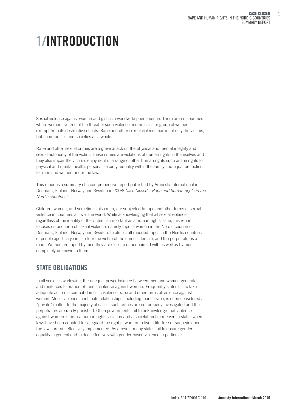# 1/INTRODUCTION

Sexual violence against women and girls is a worldwide phenomenon. There are no countries where women live free of the threat of such violence and no class or group of women is exempt from its destructive effects. Rape and other sexual violence harm not only the victims, but communities and societies as a whole.

Rape and other sexual crimes are a grave attack on the physical and mental integrity and sexual autonomy of the victim. These crimes are violations of human rights in themselves and they also impair the victim's enjoyment of a range of other human rights such as the rights to physical and mental health, personal security, equality within the family and equal protection for men and women under the law.

This report is a summary of a comprehensive report published by Amnesty International in Denmark, Finland, Norway and Sweden in 2008: *Case Closed – Rape and human rights in the Nordic countries*.1

Children, women, and sometimes also men, are subjected to rape and other forms of sexual violence in countries all over the world. While acknowledging that all sexual violence, regardless of the identity of the victim, is important as a human rights issue, this report focuses on one form of sexual violence, namely rape of women in the Nordic countries: Denmark, Finland, Norway and Sweden. In almost all reported rapes in the Nordic countries of people aged 15 years or older the victim of the crime is female, and the perpetrator is a man.2 Women are raped by men they are close to or acquainted with as well as by men completely unknown to them.

## STATE OBLIGATIONS

In all societies worldwide, the unequal power balance between men and women generates and reinforces tolerance of men's violence against women. Frequently states fail to take adequate action to combat domestic violence, rape and other forms of violence against women. Men's violence in intimate relationships, including marital rape, is often considered a "private" matter. In the majority of cases, such crimes are not properly investigated and the perpetrators are rarely punished. Often governments fail to acknowledge that violence against women is both a human rights violation and a societal problem. Even in states where laws have been adopted to safeguard the right of women to live a life free of such violence, the laws are not effectively implemented. As a result, many states fail to ensure gender equality in general and to deal effectively with gender-based violence in particular.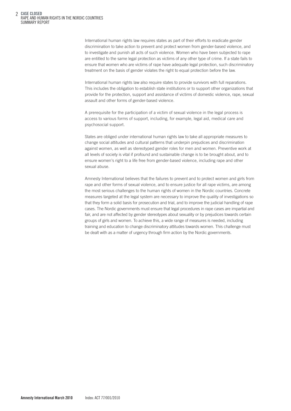International human rights law requires states as part of their efforts to eradicate gender discrimination to take action to prevent and protect women from gender-based violence, and to investigate and punish all acts of such violence. Women who have been subjected to rape are entitled to the same legal protection as victims of any other type of crime. If a state fails to ensure that women who are victims of rape have adequate legal protection, such discriminatory treatment on the basis of gender violates the right to equal protection before the law.

International human rights law also require states to provide survivors with full reparations. This includes the obligation to establish state institutions or to support other organizations that provide for the protection, support and assistance of victims of domestic violence, rape, sexual assault and other forms of gender-based violence.

A prerequisite for the participation of a victim of sexual violence in the legal process is access to various forms of support, including, for example, legal aid, medical care and psychosocial support.

States are obliged under international human rights law to take all appropriate measures to change social attitudes and cultural patterns that underpin prejudices and discrimination against women, as well as stereotyped gender roles for men and women. Preventive work at all levels of society is vital if profound and sustainable change is to be brought about, and to ensure women's right to a life free from gender-based violence, including rape and other sexual abuse.

Amnesty International believes that the failures to prevent and to protect women and girls from rape and other forms of sexual violence, and to ensure justice for all rape victims, are among the most serious challenges to the human rights of women in the Nordic countries. Concrete measures targeted at the legal system are necessary to improve the quality of investigations so that they form a solid basis for prosecution and trial, and to improve the judicial handling of rape cases. The Nordic governments must ensure that legal procedures in rape cases are impartial and fair, and are not affected by gender stereotypes about sexuality or by prejudices towards certain groups of girls and women. To achieve this, a wide range of measures is needed, including training and education to change discriminatory attitudes towards women. This challenge must be dealt with as a matter of urgency through firm action by the Nordic governments.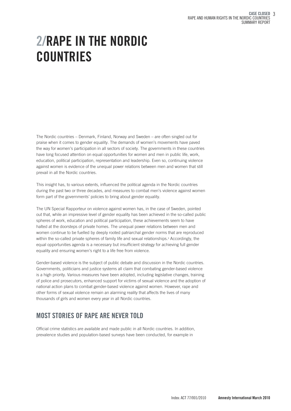## 2/RAPE IN THE NORDIC **COUNTRIES**

The Nordic countries – Denmark, Finland, Norway and Sweden – are often singled out for praise when it comes to gender equality. The demands of women's movements have paved the way for women's participation in all sectors of society. The governments in these countries have long focused attention on equal opportunities for women and men in public life, work, education, political participation, representation and leadership. Even so, continuing violence against women is evidence of the unequal power relations between men and women that still prevail in all the Nordic countries.

This insight has, to various extents, influenced the political agenda in the Nordic countries during the past two or three decades, and measures to combat men's violence against women form part of the governments' policies to bring about gender equality.

The UN Special Rapporteur on violence against women has, in the case of Sweden, pointed out that, while an impressive level of gender equality has been achieved in the so-called public spheres of work, education and political participation, these achievements seem to have halted at the doorsteps of private homes. The unequal power relations between men and women continue to be fuelled by deeply rooted patriarchal gender norms that are reproduced within the so-called private spheres of family life and sexual relationships.3 Accordingly, the equal opportunities agenda is a necessary but insufficient strategy for achieving full gender equality and ensuring women's right to a life free from violence.

Gender-based violence is the subject of public debate and discussion in the Nordic countries. Governments, politicians and justice systems all claim that combating gender-based violence is a high priority. Various measures have been adopted, including legislative changes, training of police and prosecutors, enhanced support for victims of sexual violence and the adoption of national action plans to combat gender-based violence against women. However, rape and other forms of sexual violence remain an alarming reality that affects the lives of many thousands of girls and women every year in all Nordic countries.

## MOST STORIES OF RAPE ARE NEVER TOLD

Official crime statistics are available and made public in all Nordic countries. In addition, prevalence studies and population-based surveys have been conducted, for example in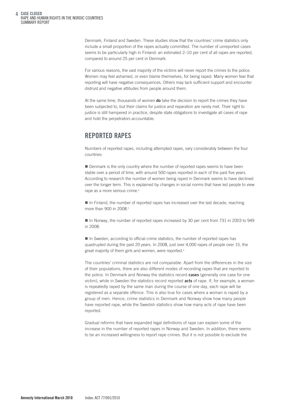Denmark, Finland and Sweden. These studies show that the countries' crime statistics only include a small proportion of the rapes actually committed. The number of unreported cases seems to be particularly high in Finland: an estimated 2–10 per cent of all rapes are reported, compared to around 25 per cent in Denmark.

For various reasons, the vast majority of the victims will never report the crimes to the police. Women may feel ashamed, or even blame themselves, for being raped. Many women fear that reporting will have negative consequences. Others may lack sufficient support and encounter distrust and negative attitudes from people around them.

At the same time, thousands of women do take the decision to report the crimes they have been subjected to, but their claims for justice and reparation are rarely met. Their right to justice is still hampered in practice, despite state obligations to investigate all cases of rape and hold the perpetrators accountable.

## REPORTED RAPES

Numbers of reported rapes, including attempted rapes, vary considerably between the four countries:

**Denmark is the only country where the number of reported rapes seems to have been** stable over a period of time, with around 500 rapes reported in each of the past five years. According to research the number of women being raped in Denmark seems to have declined over the longer term. This is explained by changes in social norms that have led people to view rape as a more serious crime.4

In Finland, the number of reported rapes has increased over the last decade, reaching more than 900 in 2008.<sup>5</sup>

In Norway, the number of reported rapes increased by 30 per cent from 731 in 2003 to 949 in 2008.

 $\blacksquare$  In Sweden, according to official crime statistics, the number of reported rapes has quadrupled during the past 20 years. In 2008, just over 4,000 rapes of people over 15, the great majority of them girls and women, were reported.<sup>6</sup>

The countries' criminal statistics are not comparable. Apart from the differences in the size of their populations, there are also different modes of recording rapes that are reported to the police. In Denmark and Norway the statistics record cases (generally one case for one victim), while in Sweden the statistics record reported **acts** of rape. If, for example, a woman is repeatedly raped by the same man during the course of one day, each rape will be registered as a separate offence. This is also true for cases where a woman is raped by a group of men. Hence, crime statistics in Denmark and Norway show how many people have reported rape, while the Swedish statistics show how many acts of rape have been reported.

Gradual reforms that have expanded legal definitions of rape can explain some of the increase in the number of reported rapes in Norway and Sweden. In addition, there seems to be an increased willingness to report rape crimes. But it is not possible to exclude the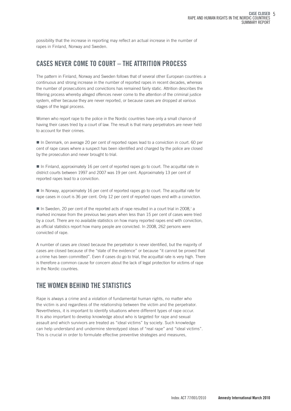possibility that the increase in reporting may reflect an actual increase in the number of rapes in Finland, Norway and Sweden.

### CASES NEVER COME TO COURT – THE ATTRITION PROCESS

The pattern in Finland, Norway and Sweden follows that of several other European countries: a continuous and strong increase in the number of reported rapes in recent decades, whereas the number of prosecutions and convictions has remained fairly static. Attrition describes the filtering process whereby alleged offences never come to the attention of the criminal justice system, either because they are never reported, or because cases are dropped at various stages of the legal process.

Women who report rape to the police in the Nordic countries have only a small chance of having their cases tried by a court of law. The result is that many perpetrators are never held to account for their crimes.

In Denmark, on average 20 per cent of reported rapes lead to a conviction in court. 60 per cent of rape cases where a suspect has been identified and charged by the police are closed by the prosecution and never brought to trial.

■ In Finland, approximately 16 per cent of reported rapes go to court. The acquittal rate in district courts between 1997 and 2007 was 19 per cent. Approximately 13 per cent of reported rapes lead to a conviction.

■ In Norway, approximately 16 per cent of reported rapes go to court. The acquittal rate for rape cases in court is 36 per cent. Only 12 per cent of reported rapes end with a conviction.

In Sweden, 20 per cent of the reported acts of rape resulted in a court trial in 2008,7 a marked increase from the previous two years when less than 15 per cent of cases were tried by a court. There are no available statistics on how many reported rapes end with conviction, as official statistics report how many people are convicted. In 2008, 262 persons were convicted of rape.

A number of cases are closed because the perpetrator is never identified, but the majority of cases are closed because of the "state of the evidence" or because "it cannot be proved that a crime has been committed". Even if cases do go to trial, the acquittal rate is very high. There is therefore a common cause for concern about the lack of legal protection for victims of rape in the Nordic countries.

## THE WOMEN BEHIND THE STATISTICS

Rape is always a crime and a violation of fundamental human rights, no matter who the victim is and regardless of the relationship between the victim and the perpetrator. Nevertheless, it is important to identify situations where different types of rape occur. It is also important to develop knowledge about who is targeted for rape and sexual assault and which survivors are treated as "ideal victims" by society. Such knowledge can help understand and undermine stereotyped ideas of "real rape" and "ideal victims". This is crucial in order to formulate effective preventive strategies and measures,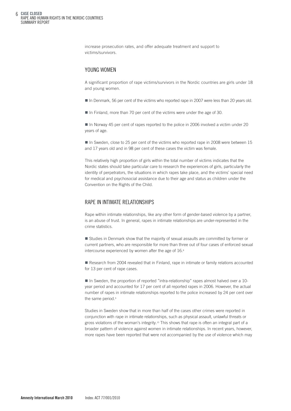CASE CLOSED RAPE AND HUMAN RIGHTS IN THE NORDIC COUNTRIES SUMMARY REPORT 6

> increase prosecution rates, and offer adequate treatment and support to victims/survivors.

#### YOUNG WOMEN

A significant proportion of rape victims/survivors in the Nordic countries are girls under 18 and young women.

- In Denmark, 56 per cent of the victims who reported rape in 2007 were less than 20 years old.
- In Finland, more than 70 per cent of the victims were under the age of 30.

■ In Norway 45 per cent of rapes reported to the police in 2006 involved a victim under 20 years of age.

In Sweden, close to 25 per cent of the victims who reported rape in 2008 were between 15 and 17 years old and in 98 per cent of these cases the victim was female.

This relatively high proportion of girls within the total number of victims indicates that the Nordic states should take particular care to research the experiences of girls, particularly the identity of perpetrators, the situations in which rapes take place, and the victims' special need for medical and psychosocial assistance due to their age and status as children under the Convention on the Rights of the Child.

#### RAPE IN INTIMATE RELATIONSHIPS

Rape within intimate relationships, like any other form of gender-based violence by a partner, is an abuse of trust. In general, rapes in intimate relationships are under-represented in the crime statistics.

■ Studies in Denmark show that the majority of sexual assaults are committed by former or current partners, who are responsible for more than three out of four cases of enforced sexual intercourse experienced by women after the age of 16.<sup>8</sup>

**E** Research from 2004 revealed that in Finland, rape in intimate or family relations accounted for 13 per cent of rape cases.

■ In Sweden, the proportion of reported "intra-relationship" rapes almost halved over a 10year period and accounted for 17 per cent of all reported rapes in 2006. However, the actual number of rapes in intimate relationships reported to the police increased by 24 per cent over the same period.<sup>9</sup>

Studies in Sweden show that in more than half of the cases other crimes were reported in conjunction with rape in intimate relationships, such as physical assault, unlawful threats or gross violations of the woman's integrity.<sup>10</sup> This shows that rape is often an integral part of a broader pattern of violence against women in intimate relationships. In recent years, however, more rapes have been reported that were not accompanied by the use of violence which may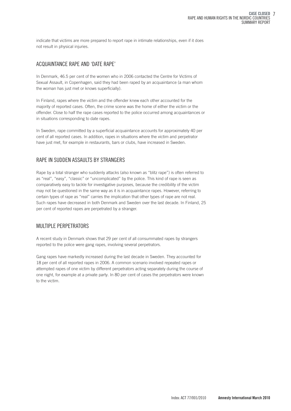indicate that victims are more prepared to report rape in intimate relationships, even if it does not result in physical injuries.

#### ACQUAINTANCE RAPE AND 'DATE RAPE'

In Denmark, 46.5 per cent of the women who in 2006 contacted the Centre for Victims of Sexual Assault, in Copenhagen, said they had been raped by an acquaintance (a man whom the woman has just met or knows superficially).

In Finland, rapes where the victim and the offender knew each other accounted for the majority of reported cases. Often, the crime scene was the home of either the victim or the offender. Close to half the rape cases reported to the police occurred among acquaintances or in situations corresponding to date rapes.

In Sweden, rape committed by a superficial acquaintance accounts for approximately 40 per cent of all reported cases. In addition, rapes in situations where the victim and perpetrator have just met, for example in restaurants, bars or clubs, have increased in Sweden.

#### RAPE IN SUDDEN ASSAULTS BY STRANGERS

Rape by a total stranger who suddenly attacks (also known as "blitz rape") is often referred to as "real", "easy", "classic" or "uncomplicated" by the police. This kind of rape is seen as comparatively easy to tackle for investigative purposes, because the credibility of the victim may not be questioned in the same way as it is in acquaintance rapes. However, referring to certain types of rape as "real" carries the implication that other types of rape are not real. Such rapes have decreased in both Denmark and Sweden over the last decade. In Finland, 25 per cent of reported rapes are perpetrated by a stranger.

#### MULTIPLE PERPETRATORS

A recent study in Denmark shows that 29 per cent of all consummated rapes by strangers reported to the police were gang rapes, involving several perpetrators.

Gang rapes have markedly increased during the last decade in Sweden. They accounted for 18 per cent of all reported rapes in 2006. A common scenario involved repeated rapes or attempted rapes of one victim by different perpetrators acting separately during the course of one night, for example at a private party. In 80 per cent of cases the perpetrators were known to the victim.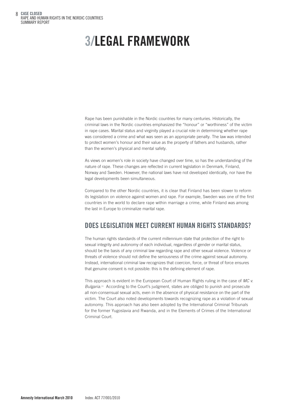## 3/LEGAL FRAMEWORK

Rape has been punishable in the Nordic countries for many centuries. Historically, the criminal laws in the Nordic countries emphasized the "honour" or "worthiness" of the victim in rape cases. Marital status and virginity played a crucial role in determining whether rape was considered a crime and what was seen as an appropriate penalty. The law was intended to protect women's honour and their value as the property of fathers and husbands, rather than the women's physical and mental safety.

As views on women's role in society have changed over time, so has the understanding of the nature of rape. These changes are reflected in current legislation in Denmark, Finland, Norway and Sweden. However, the national laws have not developed identically, nor have the legal developments been simultaneous.

Compared to the other Nordic countries, it is clear that Finland has been slower to reform its legislation on violence against women and rape. For example, Sweden was one of the first countries in the world to declare rape within marriage a crime, while Finland was among the last in Europe to criminalize marital rape.

## DOES LEGISLATION MEET CURRENT HUMAN RIGHTS STANDARDS?

The human rights standards of the current millennium state that protection of the right to sexual integrity and autonomy of each individual, regardless of gender or marital status, should be the basis of any criminal law regarding rape and other sexual violence. Violence or threats of violence should not define the seriousness of the crime against sexual autonomy. Instead, international criminal law recognizes that coercion, force, or threat of force ensures that genuine consent is not possible: this is the defining element of rape.

This approach is evident in the European Court of Human Rights ruling in the case of *MC v. Bulgaria*.11 According to the Court's judgment, states are obliged to punish and prosecute all non-consensual sexual acts, even in the absence of physical resistance on the part of the victim. The Court also noted developments towards recognizing rape as a violation of sexual autonomy. This approach has also been adopted by the International Criminal Tribunals for the former Yugoslavia and Rwanda, and in the Elements of Crimes of the International Criminal Court.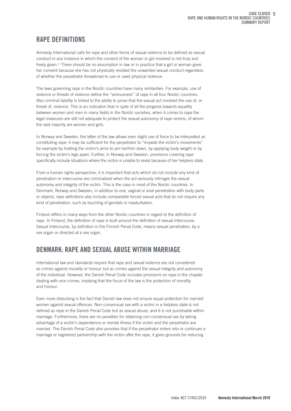## RAPE DEFINITIONS

Amnesty International calls for rape and other forms of sexual violence to be defined as sexual conduct in any instance in which the consent of the woman or girl involved is not truly and freely given.12 There should be no assumption in law or in practice that a girl or woman gives her consent because she has not physically resisted the unwanted sexual conduct regardless of whether the perpetrator threatened to use or used physical violence.

The laws governing rape in the Nordic countries have many similarities. For example, use of violence or threats of violence define the "seriousness" of rape in all four Nordic countries. Also criminal liability is linked to the ability to prove that the sexual act involved the use of, or threat of, violence. This is an indication that in spite of all the progress towards equality between women and men in many fields in the Nordic societies, when it comes to rape the legal measures are still not adequate to protect the sexual autonomy of rape victims, of whom the vast majority are women and girls.

In Norway and Sweden, the letter of the law allows even slight use of force to be interpreted as constituting rape: it may be sufficient for the perpetrator to "impede the victim's movements" for example by holding the victim's arms to pin her/him down, by applying body weight or by forcing the victim's legs apart. Further, in Norway and Sweden, provisions covering rape specifically include situations where the victim is unable to resist because of her helpless state.

From a human rights perspective, it is important that acts which do not include any kind of penetration or intercourse are criminalized when the act seriously infringes the sexual autonomy and integrity of the victim. This is the case in most of the Nordic countries. In Denmark, Norway and Sweden, in addition to oral, vaginal or anal penetration with body parts or objects, rape definitions also include comparable forced sexual acts that do not require any kind of penetration: such as touching of genitals or masturbation.

Finland differs in many ways from the other Nordic countries in regard to the definition of rape. In Finland, the definition of rape is built around the definition of sexual intercourse. Sexual intercourse, by definition in the Finnish Penal Code, means sexual penetration, by a sex organ or directed at a sex organ.

## DENMARK: RAPE AND SEXUAL ABUSE WITHIN MARRIAGE

International law and standards require that rape and sexual violence are not considered as crimes against morality or honour but as crimes against the sexual integrity and autonomy of the individual. However, the Danish Penal Code includes provisions on rape in the chapter dealing with vice crimes, implying that the focus of the law is the protection of morality and honour.

Even more disturbing is the fact that Danish law does not ensure equal protection for married women against sexual offences. Non-consensual sex with a victim in a helpless state is not defined as rape in the Danish Penal Code but as sexual abuse, and it is not punishable within marriage. Furthermore, there are no penalties for obtaining non-consensual sex by taking advantage of a victim's dependence or mental illness if the victim and the perpetrator are married. The Danish Penal Code also provides that if the perpetrator enters into or continues a marriage or registered partnership with the victim after the rape, it gives grounds for reducing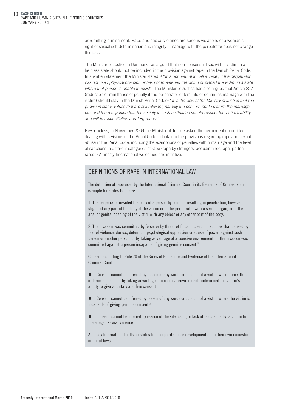10 CASE CLOSED RAPE AND HUMAN RIGHTS IN THE NORDIC COUNTRIES SUMMARY REPORT

> or remitting punishment. Rape and sexual violence are serious violations of a woman's right of sexual self-determination and integrity – marriage with the perpetrator does not change this fact.

> The Minister of Justice in Denmark has argued that non-consensual sex with a victim in a helpless state should not be included in the provision against rape in the Danish Penal Code. In a written statement the Minister stated:13 "*It is not natural to call it 'rape', if the perpetrator has not used physical coercion or has not threatened the victim or placed the victim in a state where that person is unable to resist*". The Minister of Justice has also argued that Article 227 (reduction or remittance of penalty if the perpetrator enters into or continues marriage with the victim) should stay in the Danish Penal Code:14 "*It is the view of the Ministry of Justice that the provision states values that are still relevant, namely the concern not to disturb the marriage etc. and the recognition that the society in such a situation should respect the victim's ability and will to reconciliation and forgiveness*".

Nevertheless, in November 2009 the Minister of Justice asked the permanent committee dealing with revisions of the Penal Code to look into the provisions regarding rape and sexual abuse in the Penal Code, including the exemptions of penalties within marriage and the level of sanctions in different categories of rape (rape by strangers, acquaintance rape, partner rape).15 Amnesty International welcomed this initiative.

#### DEFINITIONS OF RAPE IN INTERNATIONAL LAW

The definition of rape used by the International Criminal Court in its Elements of Crimes is an example for states to follow:

1. The perpetrator invaded the body of a person by conduct resulting in penetration, however slight, of any part of the body of the victim or of the perpetrator with a sexual organ, or of the anal or genital opening of the victim with any object or any other part of the body.

2. The invasion was committed by force, or by threat of force or coercion, such as that caused by fear of violence, duress, detention, psychological oppression or abuse of power, against such person or another person, or by taking advantage of a coercive environment, or the invasion was committed against a person incapable of giving genuine consent."

Consent according to Rule 70 of the Rules of Procedure and Evidence of the International Criminal Court:

- Consent cannot be inferred by reason of any words or conduct of a victim where force, threat of force, coercion or by taking advantage of a coercive environment undermined the victim's ability to give voluntary and free consent

- Consent cannot be inferred by reason of any words or conduct of a victim where the victim is incapable of giving genuine consent $16$ 

- Consent cannot be inferred by reason of the silence of, or lack of resistance by, a victim to the alleged sexual violence.

Amnesty International calls on states to incorporate these developments into their own domestic criminal laws.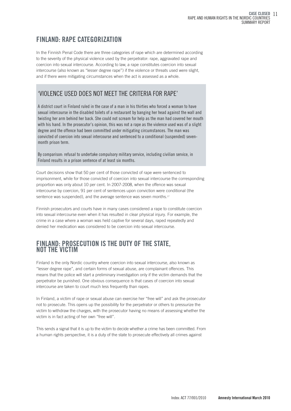## FINLAND: RAPE CATEGORIZATION

In the Finnish Penal Code there are three categories of rape which are determined according to the severity of the physical violence used by the perpetrator: rape, aggravated rape and coercion into sexual intercourse. According to law, a rape constitutes coercion into sexual intercourse (also known as "lesser degree rape") if the violence or threats used were slight, and if there were mitigating circumstances when the act is assessed as a whole.

## 'VIOLENCE USED DOES NOT MEET THE CRITERIA FOR RAPE'

A district court in Finland ruled in the case of a man in his thirties who forced a woman to have sexual intercourse in the disabled toilets of a restaurant by banging her head against the wall and twisting her arm behind her back. She could not scream for help as the man had covered her mouth with his hand. In the prosecutor's opinion, this was not a rape as the violence used was of a slight degree and the offence had been committed under mitigating circumstances. The man was convicted of coercion into sexual intercourse and sentenced to a conditional (suspended) sevenmonth prison term.

By comparison: refusal to undertake compulsory military service, including civilian service, in Finland results in a prison sentence of at least six months.

Court decisions show that 50 per cent of those convicted of rape were sentenced to imprisonment, while for those convicted of coercion into sexual intercourse the corresponding proportion was only about 10 per cent. In 2007-2008, when the offence was sexual intercourse by coercion, 91 per cent of sentences upon conviction were conditional (the sentence was suspended), and the average sentence was seven months.<sup>17</sup>

Finnish prosecutors and courts have in many cases considered a rape to constitute coercion into sexual intercourse even when it has resulted in clear physical injury. For example, the crime in a case where a woman was held captive for several days, raped repeatedly and denied her medication was considered to be coercion into sexual intercourse.

## FINLAND: PROSECUTION IS THE DUTY OF THE STATE,<br>NOT THE VICTIM

Finland is the only Nordic country where coercion into sexual intercourse, also known as "lesser degree rape", and certain forms of sexual abuse, are complainant offences. This means that the police will start a preliminary investigation only if the victim demands that the perpetrator be punished. One obvious consequence is that cases of coercion into sexual intercourse are taken to court much less frequently than rapes.

In Finland, a victim of rape or sexual abuse can exercise her "free will" and ask the prosecutor not to prosecute. This opens up the possibility for the perpetrator or others to pressurize the victim to withdraw the charges, with the prosecutor having no means of assessing whether the victim is in fact acting of her own "free will".

This sends a signal that it is up to the victim to decide whether a crime has been committed. From a human rights perspective, it is a duty of the state to prosecute effectively all crimes against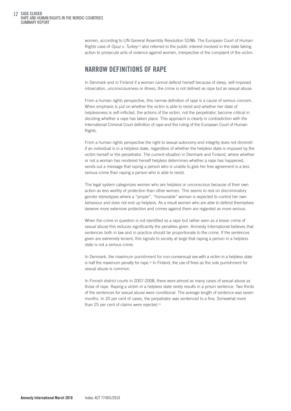12 CASE CLOSED RAPE AND HUMAN RIGHTS IN THE NORDIC COUNTRIES SUMMARY REPORT

> women, according to UN General Assembly Resolution 52/86. The European Court of Human Rights case of *Opuz v. Turkey* <sup>18</sup> also referred to the public interest involved in the state taking action to prosecute acts of violence against women, irrespective of the complaint of the victim.

### NARROW DEFINITIONS OF RAPE

In Denmark and in Finland if a woman cannot defend herself because of sleep, self-imposed intoxication, unconsciousness or illness, the crime is not defined as rape but as sexual abuse.

From a human rights perspective, this narrow definition of rape is a cause of serious concern. When emphasis is put on whether the victim is able to resist and whether her state of helplessness is self-inflicted, the actions of the victim, not the perpetrator, become critical in deciding whether a rape has taken place. This approach is clearly in contradiction with the International Criminal Court definition of rape and the ruling of the European Court of Human Rights.

From a human rights perspective the right to sexual autonomy and integrity does not diminish if an individual is in a helpless state, regardless of whether the helpless state is imposed by the victim herself or the perpetrator. The current situation in Denmark and Finland, where whether or not a woman has rendered herself helpless determines whether a rape has happened, sends out a message that raping a person who is unable to give her free agreement is a less serious crime than raping a person who is able to resist.

The legal system categorizes women who are helpless or unconscious because of their own action as less worthy of protection than other women. This seems to rest on discriminatory gender stereotypes where a "proper", "honourable" woman is expected to control her own behaviour and does not end up helpless. As a result women who are able to defend themselves deserve more extensive protection and crimes against them are regarded as more serious.

When the crime in question is not identified as a rape but rather seen as a lesser crime of sexual abuse this reduces significantly the penalties given. Amnesty International believes that sentences both in law and in practice should be proportionate to the crime. If the sentences given are extremely lenient, this signals to society at large that raping a person in a helpless state is not a serious crime.

In Denmark, the maximum punishment for non-consensual sex with a victim in a helpless state is half the maximum penalty for rape.<sup>19</sup> In Finland, the use of fines as the sole punishment for sexual abuse is common.

In Finnish district courts in 2007-2008, there were almost as many cases of sexual abuse as those of rape. Raping a victim in a helpless state rarely results in a prison sentence. Two thirds of the sentences for sexual abuse were conditional. The average length of sentence was seven months. In 20 per cent of cases, the perpetrator was sentenced to a fine. Somewhat more than 25 per cent of claims were rejected.<sup>20</sup>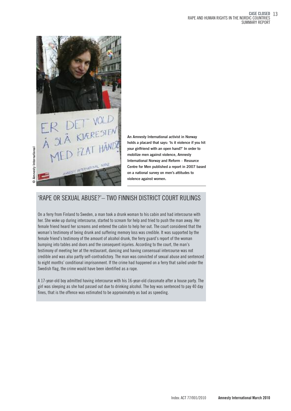

T VOLD<br>ORRESIEN vour girlfriend with an open bilize men against violence against violence against women.<br>
With the contractional Norway and Centre for Men published on a national survey on n<br>
violence against women. **SIT INTENDENT NOW** 

Amnesty International

An Amnesty International activist in Norway holds a placard that says: 'Is it violence if you hit your girlfriend with an open hand?' In order to mobilize men against violence, Amnesty International Norway and Reform – Resource Centre for Men published a report in 2007 based on a national survey on men's attitudes to

## 'RAPE OR SEXUAL ABUSE?'– TWO FINNISH DISTRICT COURT RULINGS

On a ferry from Finland to Sweden, a man took a drunk woman to his cabin and had intercourse with her. She woke up during intercourse, started to scream for help and tried to push the man away. Her female friend heard her screams and entered the cabin to help her out. The court considered that the woman's testimony of being drunk and suffering memory loss was credible. It was supported by the female friend's testimony of the amount of alcohol drunk, the ferry guard's report of the woman bumping into tables and doors and the consequent injuries. According to the court, the man's testimony of meeting her at the restaurant, dancing and having consensual intercourse was not credible and was also partly self-contradictory. The man was convicted of sexual abuse and sentenced to eight months' conditional imprisonment. If the crime had happened on a ferry that sailed under the Swedish flag, the crime would have been identified as a rape.

A 17-year-old boy admitted having intercourse with his 16-year-old classmate after a house party. The girl was sleeping as she had passed out due to drinking alcohol. The boy was sentenced to pay 40 day fines, that is the offence was estimated to be approximately as bad as speeding.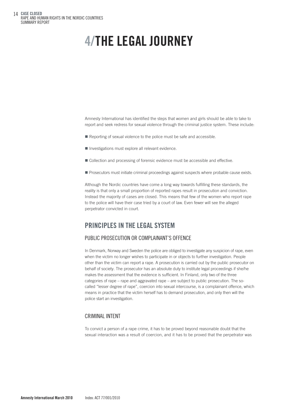14 CASE CLOSED RAPE AND HUMAN RIGHTS IN THE NORDIC COUNTRIES SUMMARY REPORT

## 4/THE LEGAL JOURNEY

Amnesty International has identified the steps that women and girls should be able to take to report and seek redress for sexual violence through the criminal justice system. These include:

- Reporting of sexual violence to the police must be safe and accessible.
- **Investigations must explore all relevant evidence.**
- Collection and processing of forensic evidence must be accessible and effective.
- **Prosecutors must initiate criminal proceedings against suspects where probable cause exists.**

Although the Nordic countries have come a long way towards fulfilling these standards, the reality is that only a small proportion of reported rapes result in prosecution and conviction. Instead the majority of cases are closed. This means that few of the women who report rape to the police will have their case tried by a court of law. Even fewer will see the alleged perpetrator convicted in court.

### PRINCIPLES IN THE LEGAL SYSTEM

#### PUBLIC PROSECUTION OR COMPLAINANT'S OFFENCE

In Denmark, Norway and Sweden the police are obliged to investigate any suspicion of rape, even when the victim no longer wishes to participate in or objects to further investigation. People other than the victim can report a rape. A prosecution is carried out by the public prosecutor on behalf of society. The prosecutor has an absolute duty to institute legal proceedings if she/he makes the assessment that the evidence is sufficient. In Finland, only two of the three categories of rape – rape and aggravated rape – are subject to public prosecution. The socalled "lesser degree of rape", coercion into sexual intercourse, is a complainant offence, which means in practice that the victim herself has to demand prosecution, and only then will the police start an investigation.

#### CRIMINAL INTENT

To convict a person of a rape crime, it has to be proved beyond reasonable doubt that the sexual interaction was a result of coercion, and it has to be proved that the perpetrator was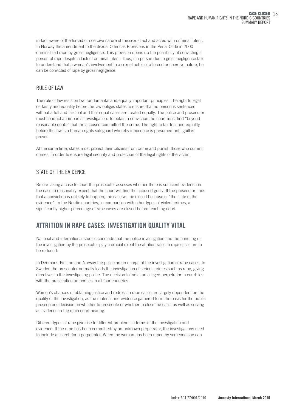in fact aware of the forced or coercive nature of the sexual act and acted with criminal intent. In Norway the amendment to the Sexual Offences Provisions in the Penal Code in 2000 criminalized rape by gross negligence. This provision opens up the possibility of convicting a person of rape despite a lack of criminal intent. Thus, if a person due to gross negligence fails to understand that a woman's involvement in a sexual act is of a forced or coercive nature, he can be convicted of rape by gross negligence.

#### RULE OF LAW

The rule of law rests on two fundamental and equally important principles. The right to legal certainty and equality before the law obliges states to ensure that no person is sentenced without a full and fair trial and that equal cases are treated equally. The police and prosecutor must conduct an impartial investigation. To obtain a conviction the court must find "beyond reasonable doubt" that the accused committed the crime. The right to fair trial and equality before the law is a human rights safeguard whereby innocence is presumed until guilt is proven.

At the same time, states must protect their citizens from crime and punish those who commit crimes, in order to ensure legal security and protection of the legal rights of the victim.

#### STATE OF THE EVIDENCE

Before taking a case to court the prosecutor assesses whether there is sufficient evidence in the case to reasonably expect that the court will find the accused guilty. If the prosecutor finds that a conviction is unlikely to happen, the case will be closed because of "the state of the evidence". In the Nordic countries, in comparison with other types of violent crimes, a significantly higher percentage of rape cases are closed before reaching court

## ATTRITION IN RAPE CASES: INVESTIGATION QUALITY VITAL

National and international studies conclude that the police investigation and the handling of the investigation by the prosecutor play a crucial role if the attrition rates in rape cases are to be reduced.

In Denmark, Finland and Norway the police are in charge of the investigation of rape cases. In Sweden the prosecutor normally leads the investigation of serious crimes such as rape, giving directives to the investigating police. The decision to indict an alleged perpetrator in court lies with the prosecution authorities in all four countries.

Women's chances of obtaining justice and redress in rape cases are largely dependent on the quality of the investigation, as the material and evidence gathered form the basis for the public prosecutor's decision on whether to prosecute or whether to close the case, as well as serving as evidence in the main court hearing.

Different types of rape give rise to different problems in terms of the investigation and evidence. If the rape has been committed by an unknown perpetrator, the investigations need to include a search for a perpetrator. When the woman has been raped by someone she can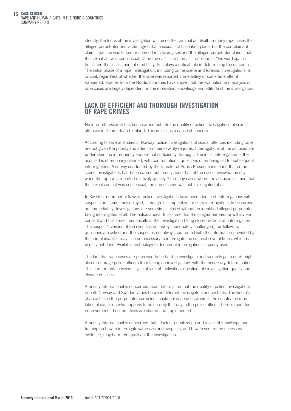identify, the focus of the investigation will be on the criminal act itself. In many rape cases the alleged perpetrator and victim agree that a sexual act has taken place, but the complainant claims that she was forced or coerced into having sex and the alleged perpetrator claims that the sexual act was consensual. Often the case is treated as a question of "his word against hers" and the assessment of credibility thus plays a critical role in determining the outcome. The initial phase of a rape investigation, including crime scene and forensic investigations, is crucial, regardless of whether the rape was reported immediately or some time after it happened. Studies from the Nordic countries have shown that the evaluation and analysis of rape cases are largely dependent on the motivation, knowledge and attitude of the investigators.

### LACK OF EFFICIENT AND THOROUGH INVESTIGATION OF RAPE CRIMES

No in-depth research has been carried out into the quality of police investigations of sexual offences in Denmark and Finland. This in itself is a cause of concern.

According to several studies in Norway, police investigations of sexual offences including rape are not given the priority and attention their severity requires. Interrogations of the accused are undertaken too infrequently and are not sufficiently thorough. The initial interrogation of the accused is often poorly planned, with confrontational questions often being left for subsequent interrogations. A survey conducted by the Director of Public Prosecutions found that crime scene investigations had been carried out in only about half of the cases reviewed, mostly when the rape was reported relatively quickly.<sup>21</sup> In many cases where the accused claimed that the sexual contact was consensual, the crime scene was not investigated at all.

In Sweden a number of flaws in police investigations have been identified. Interrogations with suspects are sometimes delayed, although it is imperative for such interrogations to be carried out immediately. Investigations are sometimes closed without an identified alleged perpetrator being interrogated at all. The police appear to assume that the alleged perpetrator will invoke consent and this sometimes results in the investigation being closed without an interrogation. The suspect's version of the events is not always adequately challenged, few follow-up questions are asked and the suspect is not always confronted with the information provided by the complainant. It may also be necessary to interrogate the suspect several times, which is usually not done. Available technology to document interrogations is poorly used.

The fact that rape cases are perceived to be hard to investigate and so rarely go to court might also discourage police officers from taking on investigations with the necessary determination. This can turn into a vicious cycle of lack of motivation, questionable investigation quality and closure of cases.

Amnesty International is concerned about information that the quality of police investigations in both Norway and Sweden varies between different investigators and districts. The victim's chance to see the perpetrator convicted should not depend on where in the country the rape takes place, or on who happens to be on duty that day in the police office. There is room for improvement if best practices are shared and implemented.

Amnesty International is concerned that a lack of prioritization and a lack of knowledge and training on how to interrogate witnesses and suspects, and how to secure the necessary evidence, may harm the quality of the investigation.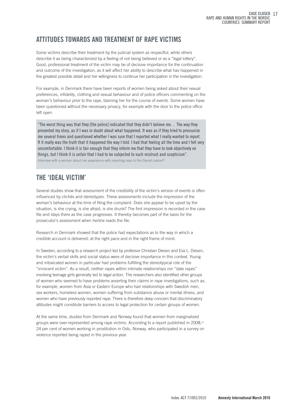## ATTITUDES TOWARDS AND TREATMENT OF RAPE VICTIMS

Some victims describe their treatment by the judicial system as respectful, while others describe it as being characterized by a feeling of not being believed or as a "legal lottery". Good, professional treatment of the victim may be of decisive importance for the continuation and outcome of the investigation, as it will affect her ability to describe what has happened in the greatest possible detail and her willingness to continue her participation in the investigation.

For example, in Denmark there have been reports of women being asked about their sexual preferences, infidelity, clothing and sexual behaviour and of police officers commenting on the woman's behaviour prior to the rape, blaming her for the course of events. Some women have been questioned without the necessary privacy, for example with the door to the police office left open.

"The worst thing was that they [the police] indicated that they didn't believe me… The way they presented my story, as if I was in doubt about what happened. It was as if they tried to pressurize me several times and questioned whether I was sure that I reported what I really wanted to report. If it really was the truth that it happened the way I told. I had that feeling all the time and I felt very uncomfortable. I think it is fair enough that they inform me that they have to look objectively on things, but I think it is unfair that I had to be subjected to such mistrust and scepticism". Interview with a woman about her experience with reporting rape to the Danish police<sup>22</sup>

## THE 'IDEAL VICTIM'

Several studies show that assessment of the credibility of the victim's version of events is often influenced by clichés and stereotypes. These assessments include the impression of the woman's behaviour at the time of filing the complaint. Does she appear to be upset by the situation, is she crying, is she afraid, is she drunk? The first impression is recorded in the case file and stays there as the case progresses. It thereby becomes part of the basis for the prosecutor's assessment when he/she reads the file.

Research in Denmark showed that the police had expectations as to the way in which a credible account is delivered: at the right pace and in the right frame of mind.

In Sweden, according to a research project led by professor Christian Diesen and Eva L. Diesen, the victim's verbal skills and social status were of decisive importance in this context. Young and intoxicated women in particular had problems fulfilling the stereotypical role of the "innocent victim". As a result, neither rapes within intimate relationships nor "date rapes" involving teenage girls generally led to legal action. The researchers also identified other groups of women who seemed to have problems asserting their claims in rape investigations, such as, for example, women from Asia or Eastern Europe who had relationships with Swedish men, sex workers, homeless women, women suffering from substance abuse or mental illness, and women who have previously reported rape. There is therefore deep concern that discriminatory attitudes might constitute barriers to access to legal protection for certain groups of women.

At the same time, studies from Denmark and Norway found that women from marginalized groups were over-represented among rape victims. According to a report published in 2008,<sup>23</sup> 24 per cent of women working in prostitution in Oslo, Norway, who participated in a survey on violence reported being raped in the previous year.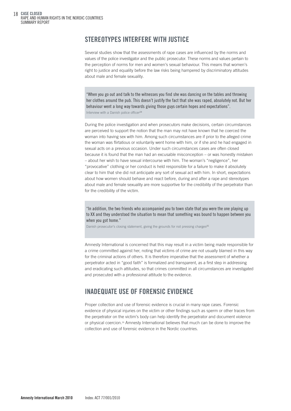## STEREOTYPES INTERFERE WITH JUSTICE

Several studies show that the assessments of rape cases are influenced by the norms and values of the police investigator and the public prosecutor. These norms and values pertain to the perception of norms for men and women's sexual behaviour. This means that women's right to justice and equality before the law risks being hampered by discriminatory attitudes about male and female sexuality.

"When you go out and talk to the witnesses you find she was dancing on the tables and throwing her clothes around the pub. This doesn't justify the fact that she was raped, absolutely not. But her behaviour went a long way towards giving those guys certain hopes and expectations". Interview with a Danish police officer<sup>24</sup>

During the police investigation and when prosecutors make decisions, certain circumstances are perceived to support the notion that the man may not have known that he coerced the woman into having sex with him. Among such circumstances are if prior to the alleged crime the woman was flirtatious or voluntarily went home with him, or if she and he had engaged in sexual acts on a previous occasion. Under such circumstances cases are often closed because it is found that the man had an excusable misconception – or was honestly mistaken – about her wish to have sexual intercourse with him. The woman's "negligence", her "provocative" clothing or her conduct is held responsible for a failure to make it absolutely clear to him that she did not anticipate any sort of sexual act with him. In short, expectations about how women should behave and react before, during and after a rape and stereotypes about male and female sexuality are more supportive for the credibility of the perpetrator than for the credibility of the victim.

"In addition, the two friends who accompanied you to town state that you were the one playing up to XX and they understood the situation to mean that something was bound to happen between you when you got home."

Danish prosecutor's closing statement, giving the grounds for not pressing charges<sup>25</sup>

Amnesty International is concerned that this may result in a victim being made responsible for a crime committed against her, noting that victims of crime are not usually blamed in this way for the criminal actions of others. It is therefore imperative that the assessment of whether a perpetrator acted in "good faith" is formalized and transparent, as a first step in addressing and eradicating such attitudes, so that crimes committed in all circumstances are investigated and prosecuted with a professional attitude to the evidence.

## INADEQUATE USE OF FORENSIC EVIDENCE

Proper collection and use of forensic evidence is crucial in many rape cases. Forensic evidence of physical injuries on the victim or other findings such as sperm or other traces from the perpetrator on the victim's body can help identify the perpetrator and document violence or physical coercion.26 Amnesty International believes that much can be done to improve the collection and use of forensic evidence in the Nordic countries.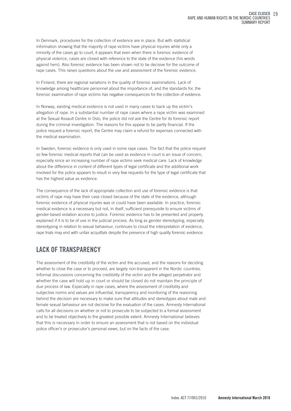In Denmark, procedures for the collection of evidence are in place. But with statistical information showing that the majority of rape victims have physical injuries while only a minority of the cases go to court, it appears that even when there is forensic evidence of physical violence, cases are closed with reference to the state of the evidence (his words against hers). Also forensic evidence has been shown not to be decisive for the outcome of rape cases. This raises questions about the use and assessment of the forensic evidence.

In Finland, there are regional variations in the quality of forensic examinations. Lack of knowledge among healthcare personnel about the importance of, and the standards for, the forensic examination of rape victims has negative consequences for the collection of evidence.

In Norway, existing medical evidence is not used in many cases to back up the victim's allegation of rape. In a substantial number of rape cases where a rape victim was examined at the Sexual Assault Centre in Oslo, the police did not ask the Centre for its forensic report during the criminal investigation. The reasons for this appear to be partly financial. If the police request a forensic report, the Centre may claim a refund for expenses connected with the medical examination.

In Sweden, forensic evidence is only used in some rape cases. The fact that the police request so few forensic medical reports that can be used as evidence in court is an issue of concern, especially since an increasing number of rape victims seek medical care. Lack of knowledge about the difference in content of different types of legal certificate and the additional work involved for the police appears to result in very few requests for the type of legal certificate that has the highest value as evidence.

The consequence of the lack of appropriate collection and use of forensic evidence is that victims of rape may have their case closed because of the state of the evidence, although forensic evidence of physical injuries was or could have been available. In practice, forensic medical evidence is a necessary but not, in itself, sufficient prerequisite to ensure victims of gender-based violation access to justice. Forensic evidence has to be presented and properly explained if it is to be of use in the judicial process. As long as gender stereotyping, especially stereotyping in relation to sexual behaviour, continues to cloud the interpretation of evidence, rape trials may end with unfair acquittals despite the presence of high quality forensic evidence.

## LACK OF TRANSPARENCY

The assessment of the credibility of the victim and the accused, and the reasons for deciding whether to close the case or to proceed, are largely non-transparent in the Nordic countries. Informal discussions concerning the credibility of the victim and the alleged perpetrator and whether the case will hold up in court or should be closed do not maintain the principle of due process of law. Especially in rape cases, where the assessment of credibility and subjective norms and values are influential, transparency and monitoring of the reasoning behind the decision are necessary to make sure that attitudes and stereotypes about male and female sexual behaviour are not decisive for the evaluation of the cases. Amnesty International calls for all decisions on whether or not to prosecute to be subjected to a formal assessment and to be treated objectively to the greatest possible extent. Amnesty International believes that this is necessary in order to ensure an assessment that is not based on the individual police officer's or prosecutor's personal views, but on the facts of the case.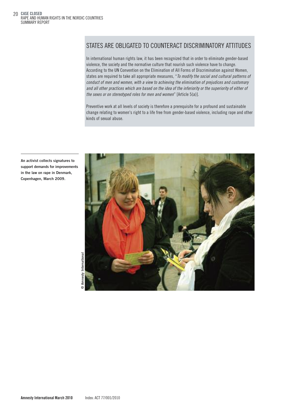### STATES ARE OBLIGATED TO COUNTERACT DISCRIMINATORY ATTITUDES

In international human rights law, it has been recognized that in order to eliminate gender-based violence, the society and the normative culture that nourish such violence have to change. According to the UN Convention on the Elimination of All Forms of Discrimination against Women, states are required to take all appropriate measures, "*To modify the social and cultural patterns of conduct of men and women, with a view to achieving the elimination of prejudices and customary* and all other practices which are based on the idea of the inferiority or the superiority of either of *the sexes or on stereotyped roles for men and women*" [Article 5(a)].

Preventive work at all levels of society is therefore a prerequisite for a profound and sustainable change relating to women's right to a life free from gender-based violence, including rape and other kinds of sexual abuse.



An activist collects signatures to support demands for improvements in the law on rape in Denmark, Copenhagen, March 2009.

> International Amnesty InternationalImnesty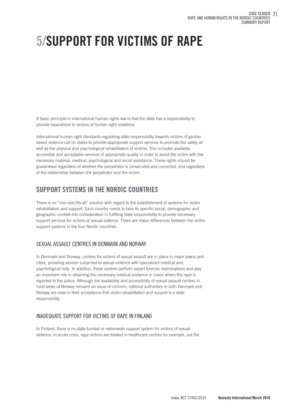## 5/SUPPORT FOR VICTIMS OF RAPE

A basic principle in international human rights law is that the state has a responsibility to provide reparations to victims of human right violations.

International human right standards regulating state responsibility towards victims of genderbased violence call on states to provide appropriate support services to promote the safety as well as the physical and psychological rehabilitation of victims. This includes available, accessible and acceptable services of appropriate quality in order to assist the victim with the necessary material, medical, psychological and social assistance. These rights should be guaranteed regardless of whether the perpetrator is prosecuted and convicted, and regardless of the relationship between the perpetrator and the victim.

## SUPPORT SYSTEMS IN THE NORDIC COUNTRIES

There is no "one-size-fits-all" solution with regard to the establishment of systems for victim rehabilitation and support. Each country needs to take its specific social, demographic and geographic context into consideration in fulfilling state responsibility to provide necessary support services for victims of sexual violence. There are major differences between the victim support systems in the four Nordic countries.

#### SEXUAL ASSAULT CENTRES IN DENMARK AND NORWAY

In Denmark and Norway, centres for victims of sexual assault are in place in major towns and cities, providing women subjected to sexual violence with specialized medical and psychological help. In addition, these centres perform expert forensic examinations and play an important role in obtaining the necessary medical evidence in cases where the rape is reported to the police. Although the availability and accessibility of sexual assault centres in rural areas of Norway remains an issue of concern, national authorities in both Denmark and Norway are clear in their acceptance that victim rehabilitation and support is a state responsibility.

#### INADEQUATE SUPPORT FOR VICTIMS OF RAPE IN FINLAND

In Finland, there is no state-funded or nationwide support system for victims of sexual violence. In acute crisis, rape victims are treated in healthcare centres for example, but the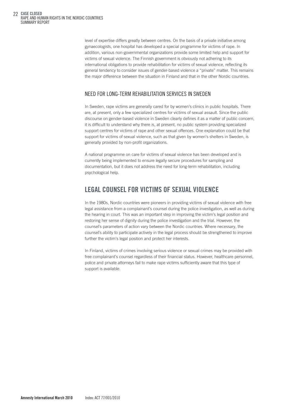level of expertise differs greatly between centres. On the basis of a private initiative among gynaecologists, one hospital has developed a special programme for victims of rape. In addition, various non-governmental organizations provide some limited help and support for victims of sexual violence. The Finnish government is obviously not adhering to its international obligations to provide rehabilitation for victims of sexual violence, reflecting its general tendency to consider issues of gender-based violence a "private" matter. This remains the major difference between the situation in Finland and that in the other Nordic countries.

#### NEED FOR LONG-TERM REHABILITATION SERVICES IN SWEDEN

In Sweden, rape victims are generally cared for by women's clinics in public hospitals. There are, at present, only a few specialized centres for victims of sexual assault. Since the public discourse on gender-based violence in Sweden clearly defines it as a matter of public concern, it is difficult to understand why there is, at present, no public system providing specialized support centres for victims of rape and other sexual offences. One explanation could be that support for victims of sexual violence, such as that given by women's shelters in Sweden, is generally provided by non-profit organizations.

A national programme on care for victims of sexual violence has been developed and is currently being implemented to ensure legally secure procedures for sampling and documentation, but it does not address the need for long-term rehabilitation, including psychological help.

### LEGAL COUNSEL FOR VICTIMS OF SEXUAL VIOLENCE

In the 1980s, Nordic countries were pioneers in providing victims of sexual violence with free legal assistance from a complainant's counsel during the police investigation, as well as during the hearing in court. This was an important step in improving the victim's legal position and restoring her sense of dignity during the police investigation and the trial. However, the counsel's parameters of action vary between the Nordic countries. Where necessary, the counsel's ability to participate actively in the legal process should be strengthened to improve further the victim's legal position and protect her interests.

In Finland, victims of crimes involving serious violence or sexual crimes may be provided with free complainant's counsel regardless of their financial status. However, healthcare personnel, police and private attorneys fail to make rape victims sufficiently aware that this type of support is available.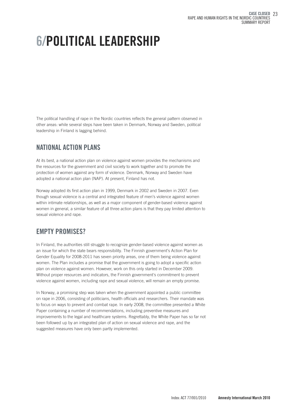## 6/POLITICAL LEADERSHIP

The political handling of rape in the Nordic countries reflects the general pattern observed in other areas: while several steps have been taken in Denmark, Norway and Sweden, political leadership in Finland is lagging behind.

## NATIONAL ACTION PLANS

At its best, a national action plan on violence against women provides the mechanisms and the resources for the government and civil society to work together and to promote the protection of women against any form of violence. Denmark, Norway and Sweden have adopted a national action plan (NAP). At present, Finland has not.

Norway adopted its first action plan in 1999, Denmark in 2002 and Sweden in 2007. Even though sexual violence is a central and integrated feature of men's violence against women within intimate relationships, as well as a major component of gender-based violence against women in general, a similar feature of all three action plans is that they pay limited attention to sexual violence and rape.

## EMPTY PROMISES?

In Finland, the authorities still struggle to recognize gender-based violence against women as an issue for which the state bears responsibility. The Finnish government's Action Plan for Gender Equality for 2008-2011 has seven priority areas, one of them being violence against women. The Plan includes a promise that the government is going to adopt a specific action plan on violence against women. However, work on this only started in December 2009. Without proper resources and indicators, the Finnish government's commitment to prevent violence against women, including rape and sexual violence, will remain an empty promise.

In Norway, a promising step was taken when the government appointed a public committee on rape in 2006, consisting of politicians, health officials and researchers. Their mandate was to focus on ways to prevent and combat rape. In early 2008, the committee presented a White Paper containing a number of recommendations, including preventive measures and improvements to the legal and healthcare systems. Regrettably, the White Paper has so far not been followed up by an integrated plan of action on sexual violence and rape, and the suggested measures have only been partly implemented.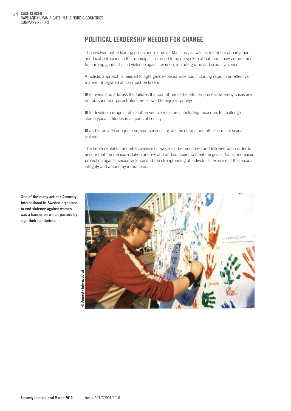## POLITICAL LEADERSHIP NEEDED FOR CHANGE

The involvement of leading politicians is crucial. Ministers, as well as members of parliament and local politicians in the municipalities, need to be outspoken about, and show commitment to, curbing gender-based violence against women, including rape and sexual violence.

A holistic approach is needed to fight gender-based violence, including rape, in an effective manner. Integrated action must be taken:

 $\blacksquare$  to reveal and address the failures that contribute to the attrition process whereby cases are not pursued and perpetrators are allowed to enjoy impunity;

 $\blacksquare$  to develop a range of efficient preventive measures, including measures to challenge stereotypical attitudes in all parts of society;

 $\blacksquare$  and to provide adequate support services for victims of rape and other forms of sexual violence.

The implementation and effectiveness of laws must be monitored and followed up in order to ensure that the measures taken are relevant and sufficient to meet the goals, that is, increased protection against sexual violence and the strengthening of individuals' exercise of their sexual integrity and autonomy in practice.



One of the many actions Amnesty International in Sweden organized to end violence against women was a banner on which passers-by sign their handprints.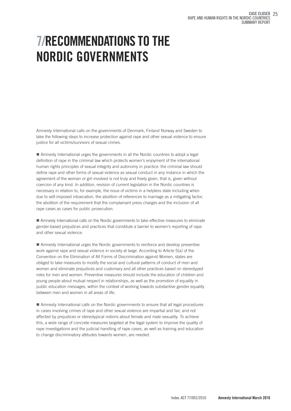## 7/RECOMMENDATIONS TO THE NORDIC GOVERNMENTS

Amnesty International calls on the governments of Denmark, Finland Norway and Sweden to take the following steps to increase protection against rape and other sexual violence to ensure justice for all victims/survivors of sexual crimes.

■ Amnesty International urges the governments in all the Nordic countries to adopt a legal definition of rape in the criminal law which protects women's enjoyment of the international human rights principles of sexual integrity and autonomy in practice: the criminal law should define rape and other forms of sexual violence as sexual conduct in any instance in which the agreement of the woman or girl involved is not truly and freely given, that is, given without coercion of any kind. In addition, revision of current legislation in the Nordic countries is necessary in relation to, for example, the issue of victims in a helpless state including when due to self-imposed intoxication, the abolition of references to marriage as a mitigating factor, the abolition of the requirement that the complainant press charges and the inclusion of all rape cases as cases for public prosecution.

**If** Amnesty International calls on the Nordic governments to take effective measures to eliminate gender-based prejudices and practices that constitute a barrier to women's reporting of rape and other sexual violence.

**Amnesty International urges the Nordic governments to reinforce and develop preventive** work against rape and sexual violence in society at large. According to Article 5(a) of the Convention on the Elimination of All Forms of Discrimination against Women, states are obliged to take measures to modify the social and cultural patterns of conduct of men and women and eliminate prejudices and customary and all other practices based on stereotyped roles for men and women. Preventive measures should include the education of children and young people about mutual respect in relationships, as well as the promotion of equality in public education messages, within the context of working towards substantive gender equality between men and women in all areas of life.

■ Amnesty International calls on the Nordic governments to ensure that all legal procedures in cases involving crimes of rape and other sexual violence are impartial and fair, and not affected by prejudices or stereotypical notions about female and male sexuality. To achieve this, a wide range of concrete measures targeted at the legal system to improve the quality of rape investigations and the judicial handling of rape cases, as well as training and education to change discriminatory attitudes towards women, are needed.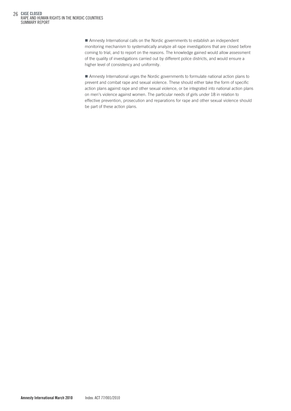■ Amnesty International calls on the Nordic governments to establish an independent monitoring mechanism to systematically analyze all rape investigations that are closed before coming to trial, and to report on the reasons. The knowledge gained would allow assessment of the quality of investigations carried out by different police districts, and would ensure a higher level of consistency and uniformity.

■ Amnesty International urges the Nordic governments to formulate national action plans to prevent and combat rape and sexual violence. These should either take the form of specific action plans against rape and other sexual violence, or be integrated into national action plans on men's violence against women. The particular needs of girls under 18 in relation to effective prevention, prosecution and reparations for rape and other sexual violence should be part of these action plans.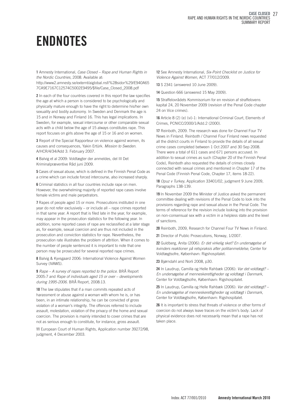1 Amnesty International, *Case Closed – Rape and Human Rights in the Nordic Countries*, 2008. Available at:

http://www2.amnesty.se/externt/aiglobal.nsf/%28sidor%29/E940A65 7CA9E7167C12574C5002E9495/\$file/Case\_Closed\_2008.pdf

2 In each of the four countries covered in this report the law specifies the age at which a person is considered to be psychologically and physically mature enough to have the right to determine his/her own sexuality and bodily autonomy. In Sweden and Denmark the age is 15 and in Norway and Finland 16. This has legal implications. In Sweden, for example, sexual intercourse or other comparable sexual acts with a child below the age of 15 always constitutes rape. This report focuses on girls above the age of 15 or 16 and on women.

3 Report of the Special Rapporteur on violence against women, its causes and consequences, Yakin Ertürk. *Mission to Sweden*. A/HCR/4/34/Add 3. February 2007.

4 Balvig et al 2009: Voldtægter der anmeldes, del III Det Kriminalpræventive Råd juni 2009.

5 Cases of sexual abuse, which is defined in the Finnish Penal Code as a crime which can include forced intercourse, also increased sharply.

6 Criminal statistics in all four countries include rape on men. However, the overwhelming majority of reported rape cases involve female victims and male perpetrators.

7 Rapes of people aged 15 or more. Prosecutions instituted in one year do not refer exclusively – or include all – rape crimes reported in that same year. A report that is filed late in the year, for example, may appear in the prosecution statistics for the following year. In addition, some reported cases of rape are reclassified at a later stage as, for example, sexual coercion and are thus not included in the prosecution and conviction statistics for rape. Nevertheless, the prosecution rate illustrates the problem of attrition. When it comes to the number of people sentenced it is important to note that one person may be prosecuted for several reported rape crimes.

8 Balvig & Kyvsgaard 2006: International Violence Against Women Survey (IVAWS).

9 *Rape – A survey of rapes reported to the police*. BRÅ Report 2005:7 and *Rape of individuals aged 15 or over – developments during 1995-2006*. BRÅ Report, 2008:13.

10 The law stipulates that if a man commits repeated acts of harassment or abuse against a woman with whom he is, or has been, in an intimate relationship, he can be convicted of gross violation of a woman's integrity. The offences referred to include assault, molestation, violation of the privacy of the home and sexual coercion. The provision is mainly intended to cover crimes that are not as serious enough to constitute, for instance, gross assault.

11 European Court of Human Rights, Application number 39272/98, judgment, 4 December 2003.

12 See Amnesty International, *Six-Point Checklist on Justice for Violence Against Women*, ACT 77/012/2009.

13 S 2341 (answered 10 June 2009).

14 Question 666 (answered 15 May 2009).

15 Straffelovrådets Kommisorium for en revision af straffelovens kapital 24, 20 November 2009 (revision of the Penal Code chapter 24 on Vice crimes).

16 Article 8 (2) (e) (vi)-1: International Criminal Court, Elements of Crimes, PCNICC/2000/1/Add.2 (2000).

17 Reinboth, 2009. The research was done for Channel Four TV News in Finland. Reinboth / Channel Four Finland news requested all the district courts in Finland to provide the details of all sexual crime cases completed between 1 Oct 2007 and 30 Sep 2008. There were a total of 611 cases and 671 persons accused. In addition to sexual crimes as such (Chapter 20 of the Finnish Penal Code), Reinboth also requested the details of crimes closely connected with sexual crimes and mentioned in Chapter 17 of the Penal Code (Finnish Penal Code, Chapter 17, items 18-22).

18 *Opuz v Turkey*, Application 33401/02, judgment 9 June 2009, Paragraphs 138-139.

19 In November 2009 the Minister of Justice asked the permanent committee dealing with revisions of the Penal Code to look into the provisions regarding rape and sexual abuse in the Penal Code. The terms of reference for the revision include looking into the provision on non-consensual sex with a victim in a helpless state and the level of sanctions.

20 Reinboth, 2009, Research for Channel Four TV News in Finland.

21 Director of Public Prosecutions, Norway, 1/2007.

22 Guldberg, Anita (2006): *Er det virkelig sket? En undersøgelse af kvinders reaktioner på retspraksis after politianmeldelse*, Center for Voldtægtsofre, København: Rigshospitalet.

23 Bjørndahl and Norli 2008, p30.

24 In Laudrup, Camilla og Helle Rahbæk (2006): *Var det voldtægt? – En undersøgelse af menneskerettigheder og voldtægt i Danmark*, Center for Voldtægtsofre, København: Rigshospitalet.

25 In Laudrup, Camilla og Helle Rahbæk (2006): *Var det voldtægt? – En undersøgelse af menneskerettigheder og voldtægt i Danmark*, Center for Voldtægtsofre, København: Rigshospitalet.

26 It is important to stress that threats of violence or other forms of coercion do not always leave traces on the victim's body. Lack of physical evidence does not necessarily mean that a rape has not taken place.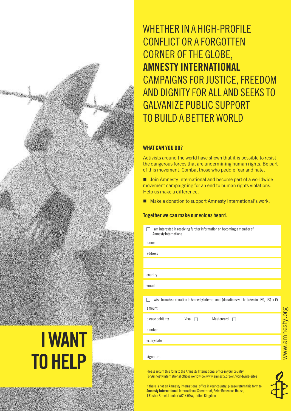

**TO HELP** 

WHETHER IN A HIGH-PROFILE CONFLICT OR A FORGOTTEN CORNER OFTHE GLOBE, AMNESTY INTERNATIONAL CAMPAIGNS FOR JUSTICE,FREEDOM AND DIGNITY FOR ALL AND SEEKS TO GALVANIZE PUBLIC SUPPORT TO BUILD A BETTER WORLD

#### WHAT CAN YOU DO?

signature

Activists around the world have shown that it is possible to resist the dangerous forces that are undermining human rights. Be part of this movement. Combat those who peddle fear and hate.

■ Join Amnesty International and become part of a worldwide movement campaigning for an end to human rights violations. Help us make a difference.

■ Make a donation to support Amnesty International's work.

#### Together we can make our voices heard.

| I am interested in receiving further information on becoming a member of<br>a se<br>Amnesty International |
|-----------------------------------------------------------------------------------------------------------|
| name                                                                                                      |
| address                                                                                                   |
|                                                                                                           |
| country                                                                                                   |
| email                                                                                                     |
|                                                                                                           |
| I wish to make a donation to Amnesty International (donations will be taken in UKE, US\$ or $\epsilon$ )  |
| amount                                                                                                    |
| please debit my<br>Visa $\Box$<br>Mastercard                                                              |
| number                                                                                                    |
| expiry date                                                                                               |
|                                                                                                           |

Please return this form to the Amnesty International office in your country. For Amnesty International offices worldwide: www.amnesty.org/en/worldwide-sites

If there is not an Amnesty International office in your country, please return this form to Amnesty International, International Secretariat, Peter Benenson House, 1 Easton Street, London WC1X 0DW, United Kingdom